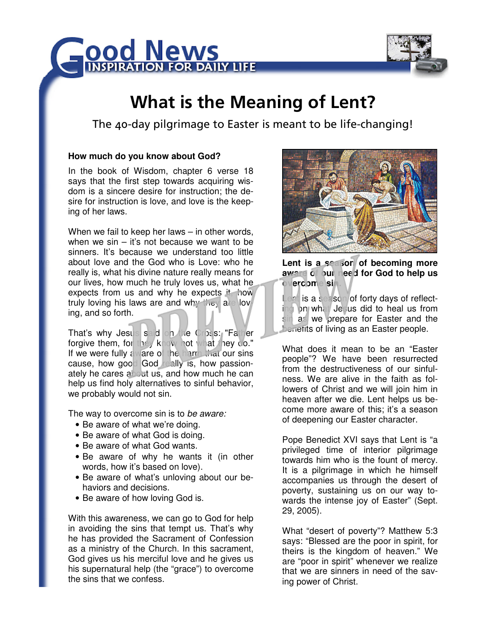



# What is the Meaning of Lent?

The 40-day pilgrimage to Easter is meant to be life-changing!

## **How much do you know about God?**

In the book of Wisdom, chapter 6 verse 18 says that the first step towards acquiring wisdom is a sincere desire for instruction; the desire for instruction is love, and love is the keeping of her laws.

When we fail to keep her laws – in other words, when we  $sin - it's$  not because we want to be sinners. It's because we understand too little about love and the God who is Love: who he really is, what his divine nature really means for our lives, how much he truly loves us, what he expects from us and why he expects it, how truly loving his laws are and why they are loving, and so forth.

That's why Jesus said on the Cross: "Father forgive them, for they know not what they do." If we were fully aware of the harm that our sins cause, how good God really is, how passionately he cares about us, and how much he can help us find holy alternatives to sinful behavior. we probably would not sin.

The way to overcome sin is to be aware:

- Be aware of what we're doing.
- Be aware of what God is doing.
- Be aware of what God wants.
- Be aware of why he wants it (in other words, how it's based on love).
- Be aware of what's unloving about our behaviors and decisions.
- Be aware of how loving God is.

With this awareness, we can go to God for help in avoiding the sins that tempt us. That's why he has provided the Sacrament of Confession as a ministry of the Church. In this sacrament, God gives us his merciful love and he gives us his supernatural help (the "grace") to overcome the sins that we confess.



Lent is a season of becoming more **aware of our need for God to help us overcome sin.** 

Lent is a season of forty days of reflecting on what Jesus did to heal us from sin as we prepare for Easter and the benefits of living as an Easter people.

What does it mean to be an "Easter people"? We have been resurrected from the destructiveness of our sinfulness. We are alive in the faith as followers of Christ and we will join him in heaven after we die. Lent helps us become more aware of this; it's a season of deepening our Easter character.

Pope Benedict XVI says that Lent is "a privileged time of interior pilgrimage towards him who is the fount of mercy. It is a pilgrimage in which he himself accompanies us through the desert of poverty, sustaining us on our way towards the intense joy of Easter" (Sept. 29, 2005).

What "desert of poverty"? Matthew 5:3 says: "Blessed are the poor in spirit, for theirs is the kingdom of heaven." We are "poor in spirit" whenever we realize that we are sinners in need of the saving power of Christ.